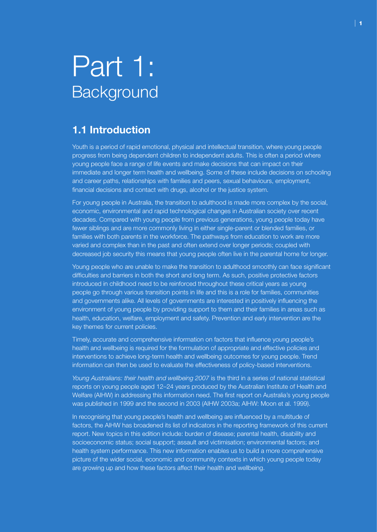# Part 1: **Background**

# **1.1 Introduction**

Youth is a period of rapid emotional, physical and intellectual transition, where young people progress from being dependent children to independent adults. This is often a period where young people face a range of life events and make decisions that can impact on their immediate and longer term health and wellbeing. Some of these include decisions on schooling and career paths, relationships with families and peers, sexual behaviours, employment, financial decisions and contact with drugs, alcohol or the justice system.

For young people in Australia, the transition to adulthood is made more complex by the social, economic, environmental and rapid technological changes in Australian society over recent decades. Compared with young people from previous generations, young people today have fewer siblings and are more commonly living in either single-parent or blended families, or families with both parents in the workforce. The pathways from education to work are more varied and complex than in the past and often extend over longer periods; coupled with decreased job security this means that young people often live in the parental home for longer.

Young people who are unable to make the transition to adulthood smoothly can face significant difficulties and barriers in both the short and long term. As such, positive protective factors introduced in childhood need to be reinforced throughout these critical years as young people go through various transition points in life and this is a role for families, communities and governments alike. All levels of governments are interested in positively influencing the environment of young people by providing support to them and their families in areas such as health, education, welfare, employment and safety. Prevention and early intervention are the key themes for current policies.

Timely, accurate and comprehensive information on factors that influence young people's health and wellbeing is required for the formulation of appropriate and effective policies and interventions to achieve long-term health and wellbeing outcomes for young people. Trend information can then be used to evaluate the effectiveness of policy-based interventions.

*Young Australians: their health and wellbeing 2007* is the third in a series of national statistical reports on young people aged 12–24 years produced by the Australian Institute of Health and Welfare (AIHW) in addressing this information need. The first report on Australia's young people was published in 1999 and the second in 2003 (AIHW 2003a; AIHW: Moon et al. 1999).

In recognising that young people's health and wellbeing are influenced by a multitude of factors, the AIHW has broadened its list of indicators in the reporting framework of this current report. New topics in this edition include: burden of disease; parental health, disability and socioeconomic status; social support; assault and victimisation; environmental factors; and health system performance. This new information enables us to build a more comprehensive picture of the wider social, economic and community contexts in which young people today are growing up and how these factors affect their health and wellbeing.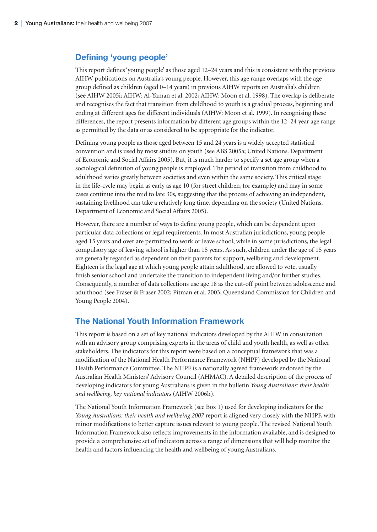# **Defining 'young people'**

This report defines 'young people' as those aged 12–24 years and this is consistent with the previous AIHW publications on Australia's young people. However, this age range overlaps with the age group defined as children (aged 0–14 years) in previous AIHW reports on Australia's children (see AIHW 2005i; AIHW: Al-Yaman et al. 2002; AIHW: Moon et al. 1998). The overlap is deliberate and recognises the fact that transition from childhood to youth is a gradual process, beginning and ending at different ages for different individuals (AIHW: Moon et al. 1999). In recognising these differences, the report presents information by different age groups within the 12–24 year age range as permitted by the data or as considered to be appropriate for the indicator.

Defining young people as those aged between 15 and 24 years is a widely accepted statistical convention and is used by most studies on youth (see ABS 2005a; United Nations. Department of Economic and Social Affairs 2005). But, it is much harder to specify a set age group when a sociological definition of young people is employed. The period of transition from childhood to adulthood varies greatly between societies and even within the same society. This critical stage in the life-cycle may begin as early as age 10 (for street children, for example) and may in some cases continue into the mid to late 30s, suggesting that the process of achieving an independent, sustaining livelihood can take a relatively long time, depending on the society (United Nations. Department of Economic and Social Affairs 2005).

However, there are a number of ways to define young people, which can be dependent upon particular data collections or legal requirements. In most Australian jurisdictions, young people aged 15 years and over are permitted to work or leave school, while in some jurisdictions, the legal compulsory age of leaving school is higher than 15 years. As such, children under the age of 15 years are generally regarded as dependent on their parents for support, wellbeing and development. Eighteen is the legal age at which young people attain adulthood, are allowed to vote, usually finish senior school and undertake the transition to independent living and/or further studies. Consequently, a number of data collections use age 18 as the cut-off point between adolescence and adulthood (see Fraser & Fraser 2002; Pitman et al. 2003; Queensland Commission for Children and Young People 2004).

# **The National Youth Information Framework**

This report is based on a set of key national indicators developed by the AIHW in consultation with an advisory group comprising experts in the areas of child and youth health, as well as other stakeholders. The indicators for this report were based on a conceptual framework that was a modification of the National Health Performance Framework (NHPF) developed by the National Health Performance Committee. The NHPF is a nationally agreed framework endorsed by the Australian Health Ministers' Advisory Council (AHMAC). A detailed description of the process of developing indicators for young Australians is given in the bulletin *Young Australians: their health and wellbeing, key national indicators* (AIHW 2006h).

The National Youth Information Framework (see Box 1) used for developing indicators for the *Young Australians: their health and wellbeing 2007* report is aligned very closely with the NHPF, with minor modifications to better capture issues relevant to young people. The revised National Youth Information Framework also reflects improvements in the information available, and is designed to provide a comprehensive set of indicators across a range of dimensions that will help monitor the health and factors influencing the health and wellbeing of young Australians.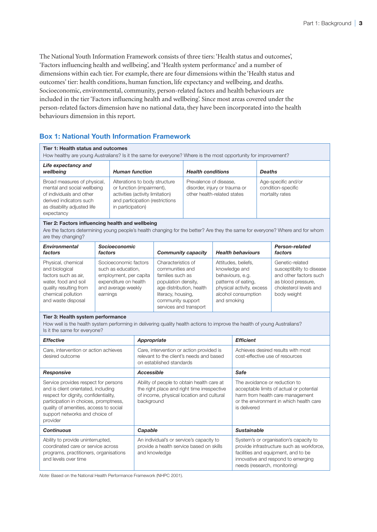The National Youth Information Framework consists of three tiers: 'Health status and outcomes', 'Factors influencing health and wellbeing', and 'Health system performance' and a number of dimensions within each tier. For example, there are four dimensions within the 'Health status and outcomes' tier: health conditions, human function, life expectancy and wellbeing, and deaths. Socioeconomic, environmental, community, person-related factors and health behaviours are included in the tier 'Factors influencing health and wellbeing'. Since most areas covered under the person-related factors dimension have no national data, they have been incorporated into the health behaviours dimension in this report.

# **Box 1: National Youth Information Framework**

# **Tier 1: Health status and outcomes**

How healthy are young Australians? Is it the same for everyone? Where is the most opportunity for improvement?

| Life expectancy and<br>wellbeing                                                                                                                               | <b>Human function</b>                                                                                                                                  | <b>Health conditions</b>                                                               | <b>Deaths</b>                                                |
|----------------------------------------------------------------------------------------------------------------------------------------------------------------|--------------------------------------------------------------------------------------------------------------------------------------------------------|----------------------------------------------------------------------------------------|--------------------------------------------------------------|
| Broad measures of physical,<br>mental and social wellbeing<br>of individuals and other<br>derived indicators such<br>as disability adjusted life<br>expectancy | Alterations to body structure<br>or function (impairment),<br>activities (activity limitation)<br>and participation (restrictions<br>in participation) | Prevalence of disease,<br>disorder, injury or trauma or<br>other health-related states | Age-specific and/or<br>condition-specific<br>mortality rates |

#### **Tier 2: Factors influencing health and wellbeing**

Are the factors determining young people's health changing for the better? Are they the same for everyone? Where and for whom are they changing?

| <b>Environmental</b><br>factors                                                                                                                            | <b>Socioeconomic</b><br>factors                                                                                                  | <b>Community capacity</b>                                                                                                                                                         | <b>Health behaviours</b>                                                                                                                           | <b>Person-related</b><br>factors                                                                                                      |
|------------------------------------------------------------------------------------------------------------------------------------------------------------|----------------------------------------------------------------------------------------------------------------------------------|-----------------------------------------------------------------------------------------------------------------------------------------------------------------------------------|----------------------------------------------------------------------------------------------------------------------------------------------------|---------------------------------------------------------------------------------------------------------------------------------------|
| Physical, chemical<br>and biological<br>factors such as air,<br>water, food and soil<br>quality resulting from<br>chemical pollution<br>and waste disposal | Socioeconomic factors<br>such as education,<br>employment, per capita<br>expenditure on health<br>and average weekly<br>earnings | Characteristics of<br>communities and<br>families such as<br>population density,<br>age distribution, health<br>literacy, housing,<br>community support<br>services and transport | Attitudes, beliefs.<br>knowledge and<br>behaviours, e.g.<br>patterns of eating,<br>physical activity, excess<br>alcohol consumption<br>and smoking | Genetic-related<br>susceptibility to disease<br>and other factors such<br>as blood pressure,<br>cholesterol levels and<br>body weight |

#### **Tier 3: Health system performance**

How well is the health system performing in delivering quality health actions to improve the health of young Australians? Is it the same for everyone?

| <b>Effective</b>                                                                                                                                                                                                                                      | Appropriate                                                                                                                                          | <b>Efficient</b>                                                                                                                                                                                 |
|-------------------------------------------------------------------------------------------------------------------------------------------------------------------------------------------------------------------------------------------------------|------------------------------------------------------------------------------------------------------------------------------------------------------|--------------------------------------------------------------------------------------------------------------------------------------------------------------------------------------------------|
| Care, intervention or action achieves<br>desired outcome                                                                                                                                                                                              | Care, intervention or action provided is<br>relevant to the client's needs and based<br>on established standards                                     | Achieves desired results with most<br>cost-effective use of resources                                                                                                                            |
| Responsive                                                                                                                                                                                                                                            | Accessible                                                                                                                                           | Safe                                                                                                                                                                                             |
| Service provides respect for persons<br>and is client orientated, including<br>respect for dignity, confidentiality,<br>participation in choices, promptness,<br>quality of amenities, access to social<br>support networks and choice of<br>provider | Ability of people to obtain health care at<br>the right place and right time irrespective<br>of income, physical location and cultural<br>background | The avoidance or reduction to<br>acceptable limits of actual or potential<br>harm from health care management<br>or the environment in which health care<br>is delivered                         |
| <b>Continuous</b>                                                                                                                                                                                                                                     | Capable                                                                                                                                              | <b>Sustainable</b>                                                                                                                                                                               |
| Ability to provide uninterrupted,<br>coordinated care or service across<br>programs, practitioners, organisations<br>and levels over time                                                                                                             | An individual's or service's capacity to<br>provide a health service based on skills<br>and knowledge                                                | System's or organisation's capacity to<br>provide infrastructure such as workforce,<br>facilities and equipment, and to be<br>innovative and respond to emerging<br>needs (research, monitoring) |

*Note:* Based on the National Health Performance Framework (NHPC 2001).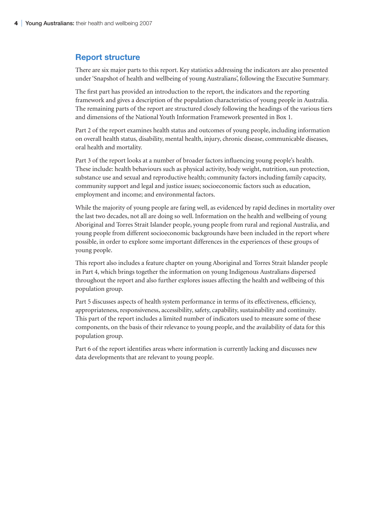# **Report structure**

There are six major parts to this report. Key statistics addressing the indicators are also presented under 'Snapshot of health and wellbeing of young Australians', following the Executive Summary.

The first part has provided an introduction to the report, the indicators and the reporting framework and gives a description of the population characteristics of young people in Australia. The remaining parts of the report are structured closely following the headings of the various tiers and dimensions of the National Youth Information Framework presented in Box 1.

Part 2 of the report examines health status and outcomes of young people, including information on overall health status, disability, mental health, injury, chronic disease, communicable diseases, oral health and mortality.

Part 3 of the report looks at a number of broader factors influencing young people's health. These include: health behaviours such as physical activity, body weight, nutrition, sun protection, substance use and sexual and reproductive health; community factors including family capacity, community support and legal and justice issues; socioeconomic factors such as education, employment and income; and environmental factors.

While the majority of young people are faring well, as evidenced by rapid declines in mortality over the last two decades, not all are doing so well. Information on the health and wellbeing of young Aboriginal and Torres Strait Islander people, young people from rural and regional Australia, and young people from different socioeconomic backgrounds have been included in the report where possible, in order to explore some important differences in the experiences of these groups of young people.

This report also includes a feature chapter on young Aboriginal and Torres Strait Islander people in Part 4, which brings together the information on young Indigenous Australians dispersed throughout the report and also further explores issues affecting the health and wellbeing of this population group.

Part 5 discusses aspects of health system performance in terms of its effectiveness, efficiency, appropriateness, responsiveness, accessibility, safety, capability, sustainability and continuity. This part of the report includes a limited number of indicators used to measure some of these components, on the basis of their relevance to young people, and the availability of data for this population group.

Part 6 of the report identifies areas where information is currently lacking and discusses new data developments that are relevant to young people.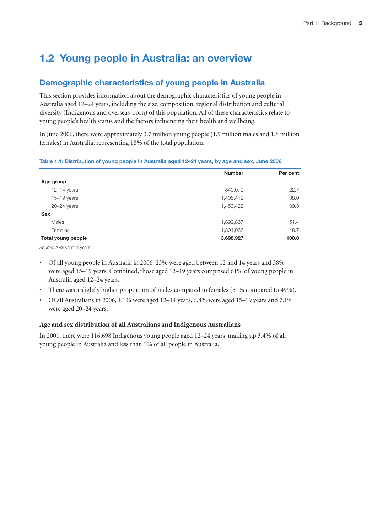# **1.2 Young people in Australia: an overview**

# **Demographic characteristics of young people in Australia**

This section provides information about the demographic characteristics of young people in Australia aged 12–24 years, including the size, composition, regional distribution and cultural diversity (Indigenous and overseas-born) of this population. All of these characteristics relate to young people's health status and the factors influencing their health and wellbeing.

In June 2006, there were approximately 3.7 million young people (1.9 million males and 1.8 million females) in Australia, representing 18% of the total population.

## **Table 1.1: Distribution of young people in Australia aged 12–24 years, by age and sex, June 2006**

|                    | <b>Number</b> | Per cent |
|--------------------|---------------|----------|
| Age group          |               |          |
| $12-14$ years      | 840,079       | 22.7     |
| $15-19$ years      | 1,405,419     | 38.0     |
| $20 - 24$ years    | 1,453,429     | 39.3     |
| <b>Sex</b>         |               |          |
| Males              | 1,899,867     | 51.4     |
| Females            | 1,801,066     | 48.7     |
| Total young people | 3,698,927     | 100.0    |

*Source:* ABS various years.

- Of all young people in Australia in 2006, 23% were aged between 12 and 14 years and 38% were aged 15–19 years. Combined, those aged 12–19 years comprised 61% of young people in Australia aged 12–24 years.
- There was a slightly higher proportion of males compared to females (51% compared to 49%).
- Of all Australians in 2006, 4.1% were aged 12–14 years, 6.8% were aged 15–19 years and 7.1% were aged 20–24 years.

# **Age and sex distribution of all Australians and Indigenous Australians**

In 2001, there were 116,698 Indigenous young people aged 12–24 years, making up 3.4% of all young people in Australia and less than 1% of all people in Australia.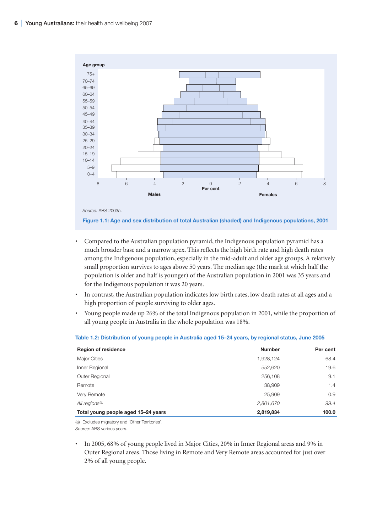

**Figure 1.1: Age and sex distribution of total Australian (shaded) and Indigenous populations, 2001**

- Compared to the Australian population pyramid, the Indigenous population pyramid has a much broader base and a narrow apex. This reflects the high birth rate and high death rates among the Indigenous population, especially in the mid-adult and older age groups. A relatively small proportion survives to ages above 50 years. The median age (the mark at which half the population is older and half is younger) of the Australian population in 2001 was 35 years and for the Indigenous population it was 20 years.
- In contrast, the Australian population indicates low birth rates, low death rates at all ages and a high proportion of people surviving to older ages.
- Young people made up 26% of the total Indigenous population in 2001, while the proportion of all young people in Australia in the whole population was 18%.

| <b>Region of residence</b>          | <b>Number</b> | Per cent |
|-------------------------------------|---------------|----------|
| <b>Major Cities</b>                 | 1,928,124     | 68.4     |
| Inner Regional                      | 552,620       | 19.6     |
| <b>Outer Regional</b>               | 256,108       | 9.1      |
| Remote                              | 38,909        | 1.4      |
| Very Remote                         | 25,909        | 0.9      |
| All regions <sup>(a)</sup>          | 2,801,670     | 99.4     |
| Total young people aged 15-24 years | 2,819,834     | 100.0    |

#### **Table 1.2: Distribution of young people in Australia aged 15–24 years, by regional status, June 2005**

(a) Excludes migratory and 'Other Territories'. *Source:* ABS various years.

• In 2005, 68% of young people lived in Major Cities, 20% in Inner Regional areas and 9% in Outer Regional areas. Those living in Remote and Very Remote areas accounted for just over 2% of all young people.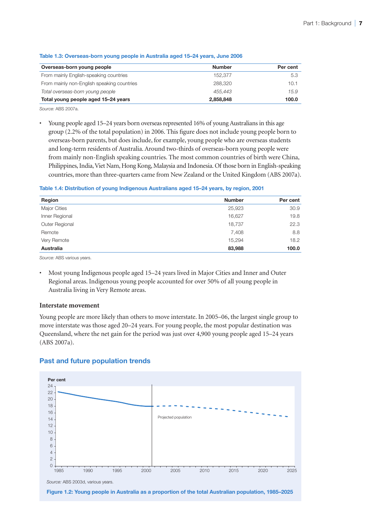| Overseas-born young people                 | <b>Number</b> | Per cent |
|--------------------------------------------|---------------|----------|
| From mainly English-speaking countries     | 152.377       | 5.3      |
| From mainly non-English speaking countries | 288.320       | 10.1     |
| Total overseas-born young people           | 455.443       | 15.9     |
| Total young people aged 15-24 years        | 2,858,848     | 100.0    |

#### **Table 1.3: Overseas-born young people in Australia aged 15–24 years, June 2006**

*Source:* ABS 2007a.

• Young people aged 15–24 years born overseas represented 16% of young Australians in this age group (2.2% of the total population) in 2006. This figure does not include young people born to overseas-born parents, but does include, for example, young people who are overseas students and long-term residents of Australia. Around two-thirds of overseas-born young people were from mainly non-English speaking countries. The most common countries of birth were China, Philippines, India, Viet Nam, Hong Kong, Malaysia and Indonesia. Of those born in English-speaking countries, more than three-quarters came from New Zealand or the United Kingdom (ABS 2007a).

## **Table 1.4: Distribution of young Indigenous Australians aged 15–24 years, by region, 2001**

| Region           | <b>Number</b> | Per cent |
|------------------|---------------|----------|
| Major Cities     | 25,923        | 30.9     |
| Inner Regional   | 16,627        | 19.8     |
| Outer Regional   | 18,737        | 22.3     |
| Remote           | 7,408         | 8.8      |
| Very Remote      | 15,294        | 18.2     |
| <b>Australia</b> | 83,988        | 100.0    |

*Source:* ABS various years.

• Most young Indigenous people aged 15–24 years lived in Major Cities and Inner and Outer Regional areas. Indigenous young people accounted for over 50% of all young people in Australia living in Very Remote areas.

## **Interstate movement**

Young people are more likely than others to move interstate. In 2005–06, the largest single group to move interstate was those aged 20–24 years. For young people, the most popular destination was Queensland, where the net gain for the period was just over 4,900 young people aged 15–24 years (ABS 2007a).

# **Past and future population trends**



**Figure 1.2: Young people in Australia as a proportion of the total Australian population, 1985–2025**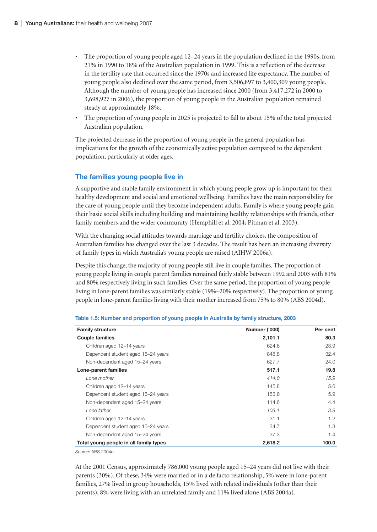- The proportion of young people aged 12–24 years in the population declined in the 1990s, from 21% in 1990 to 18% of the Australian population in 1999. This is a reflection of the decrease in the fertility rate that occurred since the 1970s and increased life expectancy. The number of young people also declined over the same period, from 3,506,897 to 3,400,309 young people. Although the number of young people has increased since 2000 (from 3,417,272 in 2000 to 3,698,927 in 2006), the proportion of young people in the Australian population remained steady at approximately 18%.
- The proportion of young people in 2025 is projected to fall to about 15% of the total projected Australian population.

The projected decrease in the proportion of young people in the general population has implications for the growth of the economically active population compared to the dependent population, particularly at older ages.

# **The families young people live in**

A supportive and stable family environment in which young people grow up is important for their healthy development and social and emotional wellbeing. Families have the main responsibility for the care of young people until they become independent adults. Family is where young people gain their basic social skills including building and maintaining healthy relationships with friends, other family members and the wider community (Hemphill et al. 2004; Pitman et al. 2003).

With the changing social attitudes towards marriage and fertility choices, the composition of Australian families has changed over the last 3 decades. The result has been an increasing diversity of family types in which Australia's young people are raised (AIHW 2006a).

Despite this change, the majority of young people still live in couple families. The proportion of young people living in couple parent families remained fairly stable between 1992 and 2003 with 81% and 80% respectively living in such families. Over the same period, the proportion of young people living in lone-parent families was similarly stable (19%–20% respectively). The proportion of young people in lone-parent families living with their mother increased from 75% to 80% (ABS 2004d).

| <b>Family structure</b>                | <b>Number ('000)</b> | Per cent |  |
|----------------------------------------|----------------------|----------|--|
| <b>Couple families</b>                 | 2,101.1              | 80.3     |  |
| Children aged 12-14 years              | 624.6                | 23.9     |  |
| Dependent student aged 15-24 years     | 848.8                | 32.4     |  |
| Non-dependent aged 15-24 years         | 627.7                | 24.0     |  |
| Lone-parent families                   | 517.1                | 19.8     |  |
| Lone mother                            | 414.0                | 15.9     |  |
| Children aged 12-14 years              | 145.8                | 5.6      |  |
| Dependent student aged 15-24 years     | 153.6                | 5.9      |  |
| Non-dependent aged 15-24 years         | 114.6                | 4.4      |  |
| Lone father                            | 103.1                | 3.9      |  |
| Children aged 12-14 years              | 31.1                 | 1.2      |  |
| Dependent student aged 15-24 years     | 34.7                 | 1.3      |  |
| Non-dependent aged 15–24 years         | 37.3                 | 1.4      |  |
| Total young people in all family types | 2,618.2              | 100.0    |  |

*Source:* ABS 2004d.

At the 2001 Census, approximately 786,000 young people aged 15–24 years did not live with their parents (30%). Of these, 34% were married or in a de facto relationship, 5% were in lone-parent families, 27% lived in group households, 15% lived with related individuals (other than their parents), 8% were living with an unrelated family and 11% lived alone (ABS 2004a).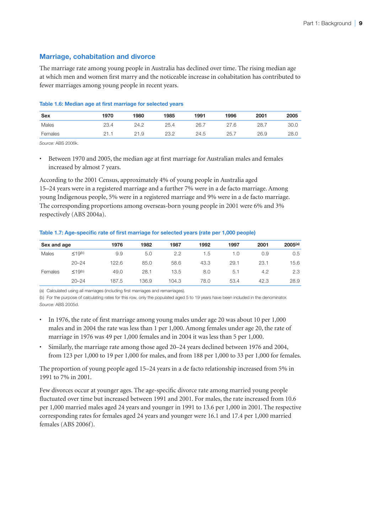# **Marriage, cohabitation and divorce**

The marriage rate among young people in Australia has declined over time. The rising median age at which men and women first marry and the noticeable increase in cohabitation has contributed to fewer marriages among young people in recent years.

#### **Table 1.6: Median age at first marriage for selected years**

| Sex     | 1970 | 1980 | 1985 | 1991 | 1996 | 2001 | 2005 |
|---------|------|------|------|------|------|------|------|
| Males   | 23.4 | 24.2 | 25.4 | 26.7 | 27.6 | 28.7 | 30.0 |
| Females |      | 21.9 | 23.2 | 24.5 | 25.  | 26.9 | 28.0 |

*Source:* ABS 2006k.

• Between 1970 and 2005, the median age at first marriage for Australian males and females increased by almost 7 years.

According to the 2001 Census, approximately 4% of young people in Australia aged 15–24 years were in a registered marriage and a further 7% were in a de facto marriage. Among young Indigenous people, 5% were in a registered marriage and 9% were in a de facto marriage. The corresponding proportions among overseas-born young people in 2001 were 6% and 3% respectively (ABS 2004a).

**Table 1.7: Age-specific rate of first marriage for selected years (rate per 1,000 people)**

| Sex and age |                          | 1976  | 1982  | 1987  | 1992 | 1997 | 2001 | $2005^{(a)}$ |
|-------------|--------------------------|-------|-------|-------|------|------|------|--------------|
| Males       | $\leq$ 19(b)             | 9.9   | 5.0   | 2.2   | 1.5  | 1.0  | 0.9  | 0.5          |
|             | $20 - 24$                | 122.6 | 85.0  | 58.6  | 43.3 | 29.1 | 23.1 | 15.6         |
| Females     | $\leq$ 19 <sup>(b)</sup> | 49.0  | 28.1  | 13.5  | 8.0  | 5.1  | 4.2  | 2.3          |
|             | $20 - 24$                | 187.5 | 136.9 | 104.3 | 78.0 | 53.4 | 42.3 | 28.9         |

(a) Calculated using all marriages (including first marriages and remarriages).

(b) For the purpose of calculating rates for this row, only the populated aged 5 to 19 years have been included in the denominator. *Source:* ABS 2005d.

- In 1976, the rate of first marriage among young males under age 20 was about 10 per 1,000 males and in 2004 the rate was less than 1 per 1,000. Among females under age 20, the rate of marriage in 1976 was 49 per 1,000 females and in 2004 it was less than 5 per 1,000.
- Similarly, the marriage rate among those aged 20–24 years declined between 1976 and 2004, from 123 per 1,000 to 19 per 1,000 for males, and from 188 per 1,000 to 33 per 1,000 for females.

The proportion of young people aged 15–24 years in a de facto relationship increased from 5% in 1991 to 7% in 2001.

Few divorces occur at younger ages. The age-specific divorce rate among married young people fluctuated over time but increased between 1991 and 2001. For males, the rate increased from 10.6 per 1,000 married males aged 24 years and younger in 1991 to 13.6 per 1,000 in 2001. The respective corresponding rates for females aged 24 years and younger were 16.1 and 17.4 per 1,000 married females (ABS 2006f).